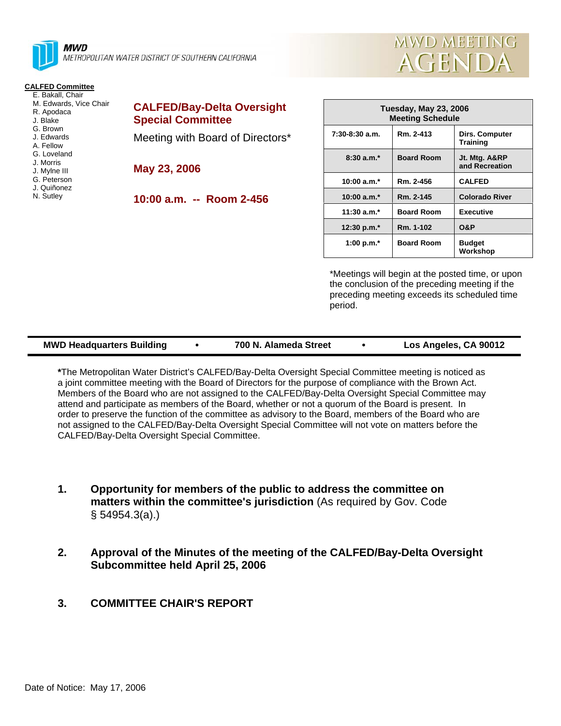

**MWD** METROPOLITAN WATER DISTRICT OF SOUTHERN CALIFORNIA

## **CALFED Committee**

- E. Bakall, Chair M. Edwards, Vice Chair
- R. Apodaca
- J. Blake
- G. Brown
- J. Edwards A. Fellow
- G. Loveland
- J. Morris
- J. Mylne III
- G. Peterson
- J. Quiñonez
- N. Sutley

| <b>CALFED/Bay-Delta Oversight</b> |  |
|-----------------------------------|--|
| <b>Special Committee</b>          |  |

Meeting with Board of Directors\*

**May 23, 2006** 

**10:00 a.m. -- Room 2-456** 

| Tuesday, May 23, 2006<br><b>Meeting Schedule</b> |                   |                                   |  |  |
|--------------------------------------------------|-------------------|-----------------------------------|--|--|
| 7:30-8:30 a.m.                                   | Rm. 2-413         | Dirs. Computer<br><b>Training</b> |  |  |
| $8:30a.m.*$                                      | <b>Board Room</b> | Jt. Mtg. A&RP<br>and Recreation   |  |  |
| 10:00 a.m. $*$                                   | Rm. 2-456         | <b>CALFED</b>                     |  |  |
| 10:00 $a.m.*$                                    | Rm. 2-145         | <b>Colorado River</b>             |  |  |
| $11:30$ a.m. <sup>*</sup>                        | <b>Board Room</b> | <b>Executive</b>                  |  |  |
| 12:30 p.m. $*$                                   | Rm. 1-102         | O&P                               |  |  |
| 1:00 p.m. $*$                                    | <b>Board Room</b> | <b>Budget</b><br>Workshop         |  |  |

**MWD MEETING** 

**AGENDA** 

\*Meetings will begin at the posted time, or upon the conclusion of the preceding meeting if the preceding meeting exceeds its scheduled time period.

| <b>MWD Headquarters Building</b> |  | 700 N. Alameda Street |  | Los Angeles, CA 90012 |
|----------------------------------|--|-----------------------|--|-----------------------|
|----------------------------------|--|-----------------------|--|-----------------------|

**\***The Metropolitan Water District's CALFED/Bay-Delta Oversight Special Committee meeting is noticed as a joint committee meeting with the Board of Directors for the purpose of compliance with the Brown Act. Members of the Board who are not assigned to the CALFED/Bay-Delta Oversight Special Committee may attend and participate as members of the Board, whether or not a quorum of the Board is present. In order to preserve the function of the committee as advisory to the Board, members of the Board who are not assigned to the CALFED/Bay-Delta Oversight Special Committee will not vote on matters before the CALFED/Bay-Delta Oversight Special Committee.

- **1. Opportunity for members of the public to address the committee on matters within the committee's jurisdiction** (As required by Gov. Code § 54954.3(a).)
- **2. Approval of the Minutes of the meeting of the CALFED/Bay-Delta Oversight Subcommittee held April 25, 2006**
- **3. COMMITTEE CHAIR'S REPORT**